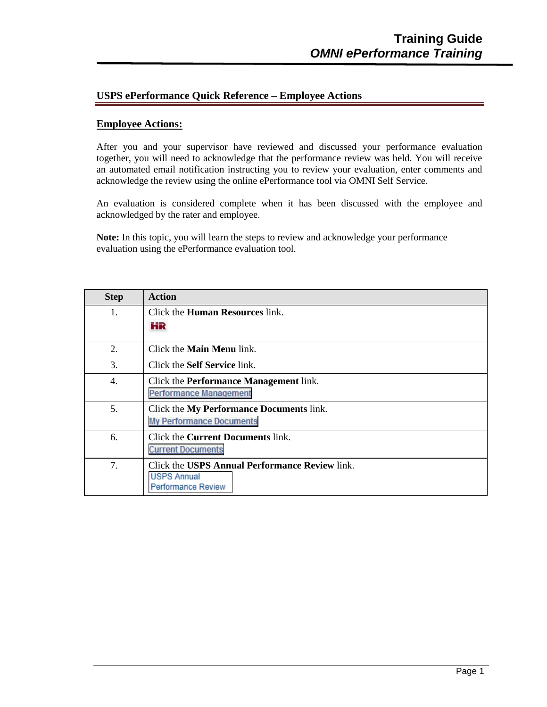## **USPS ePerformance Quick Reference – Employee Actions**

## **Employee Actions:**

After you and your supervisor have reviewed and discussed your performance evaluation together, you will need to acknowledge that the performance review was held. You will receive an automated email notification instructing you to review your evaluation, enter comments and acknowledge the review using the online ePerformance tool via OMNI Self Service.

An evaluation is considered complete when it has been discussed with the employee and acknowledged by the rater and employee.

**Note:** In this topic, you will learn the steps to review and acknowledge your performance evaluation using the ePerformance evaluation tool.

| <b>Step</b> | <b>Action</b>                                  |
|-------------|------------------------------------------------|
| 1.          | Click the <b>Human Resources</b> link.         |
|             | НR                                             |
| 2.          | Click the <b>Main Menu</b> link.               |
| 3.          | Click the <b>Self Service</b> link.            |
| 4.          | Click the <b>Performance Management</b> link.  |
|             | <b>Performance Management</b>                  |
| 5.          | Click the My Performance Documents link.       |
|             | <b>My Performance Documents</b>                |
| 6.          | Click the <b>Current Documents</b> link.       |
|             | <b>Current Documents</b>                       |
| 7.          | Click the USPS Annual Performance Review link. |
|             | <b>USPS Annual</b>                             |
|             | <b>Performance Review</b>                      |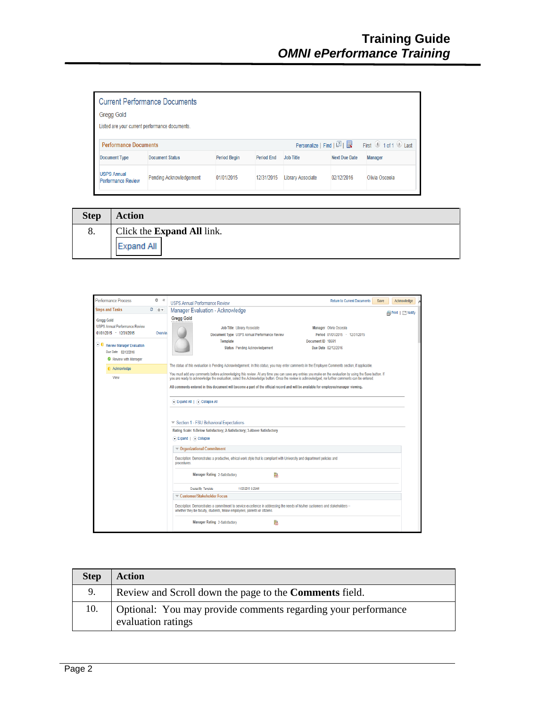| <b>Current Performance Documents</b>            |                                                                                        |                     |                   |                   |                                        |                |
|-------------------------------------------------|----------------------------------------------------------------------------------------|---------------------|-------------------|-------------------|----------------------------------------|----------------|
| <b>Gregg Gold</b>                               |                                                                                        |                     |                   |                   |                                        |                |
|                                                 | Listed are your current performance documents.                                         |                     |                   |                   |                                        |                |
|                                                 | Personalize   Find   2           First   1 of 1   Last<br><b>Performance Documents</b> |                     |                   |                   |                                        |                |
| <b>Document Type</b>                            | <b>Document Status</b>                                                                 | <b>Period Begin</b> | <b>Period End</b> | <b>Job Title</b>  | <b>Next Due Date</b><br><b>Manager</b> |                |
| <b>USPS Annual</b><br><b>Performance Review</b> | <b>Pending Acknowledgement</b>                                                         | 01/01/2015          | 12/31/2015        | Library Associate | 02/12/2016                             | Olivia Osceola |

| <b>Step</b> | <b>Action</b>                                          |
|-------------|--------------------------------------------------------|
| 8.          | Click the <b>Expand All</b> link.<br><b>Expand All</b> |

| Performance Process                                                                   | ö<br>$\ll$                                                                                                                              | <b>USPS Annual Performance Review</b>                                                                                                                                                                                                                                                                        | <b>Return to Current Documents</b><br>Save               | Acknowledge               |  |
|---------------------------------------------------------------------------------------|-----------------------------------------------------------------------------------------------------------------------------------------|--------------------------------------------------------------------------------------------------------------------------------------------------------------------------------------------------------------------------------------------------------------------------------------------------------------|----------------------------------------------------------|---------------------------|--|
| <b>Steps and Tasks</b>                                                                | ٥<br>0 v                                                                                                                                | Manager Evaluation - Acknowledge                                                                                                                                                                                                                                                                             |                                                          | <b>A</b> Print   □ Notify |  |
| <b>Gregg Gold</b><br><b>USPS Annual Performance Review</b><br>01/01/2015 - 12/31/2015 | Overview                                                                                                                                | <b>Gregg Gold</b><br><b>Job Title Library Associate</b><br>Document Type USPS Annual Performance Review<br>Document ID 10691<br><b>Template</b>                                                                                                                                                              | Manager Olivia Osceola<br>Period 01/01/2015 - 12/31/2015 |                           |  |
| Review Manager Evaluation<br>Due Date 02/12/2016<br>Review with Manager               |                                                                                                                                         | Status Pending Acknowledgement<br>Due Date 02/12/2016                                                                                                                                                                                                                                                        |                                                          |                           |  |
| Acknowledge                                                                           |                                                                                                                                         | The status of this evaluation is Pending Acknowledgement. In this status, you may enter comments in the Employee Comments section, if applicable,                                                                                                                                                            |                                                          |                           |  |
| View                                                                                  |                                                                                                                                         | You must add any comments before acknowledging this review. At any time you can save any entries you make on the evaluation by using the Save button. If<br>you are ready to acknowledge the evaluation, select the Acknowledge button. Once the review is acknowledged, no further comments can be entered. |                                                          |                           |  |
|                                                                                       |                                                                                                                                         | All comments entered in this document will become a part of the official record and will be available for employee/manager viewing.                                                                                                                                                                          |                                                          |                           |  |
|                                                                                       |                                                                                                                                         | Expand All   Collapse All                                                                                                                                                                                                                                                                                    |                                                          |                           |  |
|                                                                                       |                                                                                                                                         | Section 1 - FSU Behavioral Expectations                                                                                                                                                                                                                                                                      |                                                          |                           |  |
|                                                                                       |                                                                                                                                         | Rating Scale: 1-Below Satisfactory; 2-Satisfactory; 3-Above Satisfactory                                                                                                                                                                                                                                     |                                                          |                           |  |
|                                                                                       |                                                                                                                                         | C Expand   C Collapse                                                                                                                                                                                                                                                                                        |                                                          |                           |  |
|                                                                                       |                                                                                                                                         | <b>▼ Organizational Commitment</b>                                                                                                                                                                                                                                                                           |                                                          |                           |  |
|                                                                                       | Description: Demonstrates a productive, ethical work style that is compliant with University and department policies and<br>procedures. |                                                                                                                                                                                                                                                                                                              |                                                          |                           |  |
|                                                                                       |                                                                                                                                         | P<br>Manager Rating 2-Satisfactory                                                                                                                                                                                                                                                                           |                                                          |                           |  |
|                                                                                       |                                                                                                                                         | Created By Template<br>11/25/2015 9:25AM                                                                                                                                                                                                                                                                     |                                                          |                           |  |
|                                                                                       |                                                                                                                                         | Customer/Stakeholder Focus                                                                                                                                                                                                                                                                                   |                                                          |                           |  |
|                                                                                       |                                                                                                                                         | Description: Demonstrates a commitment to service excellence in addressing the needs of his/her customers and stakeholders --<br>whether they be faculty, students, fellow employees, parents or citizens.                                                                                                   |                                                          |                           |  |
|                                                                                       |                                                                                                                                         | Manager Rating 2-Satisfactory<br>P                                                                                                                                                                                                                                                                           |                                                          |                           |  |

| <b>Step</b> | <b>Action</b>                                                                       |
|-------------|-------------------------------------------------------------------------------------|
|             | Review and Scroll down the page to the <b>Comments</b> field.                       |
| 10.         | Optional: You may provide comments regarding your performance<br>evaluation ratings |